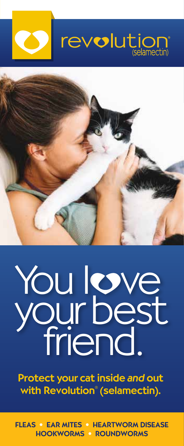



# You love your best friend.

Protect your cat inside and out with Revolution® (selamectin).

FLEAS • EAR MITES • HEARTWORM DISEASE HOOKWORMS • ROUNDWORMS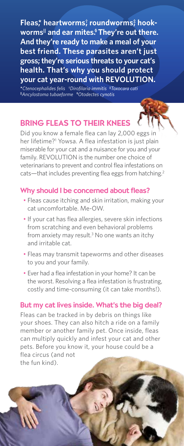**Fleas,\* heartworms† , roundworms‡ , hookworms|| and ear mites. § They're out there. And they're ready to make a meal of your best friend. These parasites aren't just gross; they're serious threats to your cat's health. That's why you should protect your cat year-round with REVOLUTION.**

**\****Ctenocephalides felis* **†** *Dirofilaria immitis* **‡** *Toxocara cati* **||***Ancylostoma tubaeforme* **§** *Otodectes cynotis*

# BRING FLEAS TO THEIR KNEES

Did you know a female flea can lay 2,000 eggs in her lifetime?<sup>1</sup> Yowsa. A flea infestation is just plain miserable for your cat and a nuisance for you and your family. REVOLUTION is the number one choice of veterinarians to prevent and control flea infestations on cats—that includes preventing flea eggs from hatching.<sup>2</sup>

## Why should I be concerned about fleas?

- Fleas cause itching and skin irritation, making your cat uncomfortable. Me-OW.
- If your cat has flea allergies, severe skin infections from scratching and even behavioral problems from anxiety may result.<sup>3</sup> No one wants an itchy and irritable cat.
- Fleas may transmit tapeworms and other diseases to you and your family.
- Ever had a flea infestation in your home? It can be the worst. Resolving a flea infestation is frustrating, costly and time-consuming (it can take months!).

## But my cat lives inside. What's the big deal?

Fleas can be tracked in by debris on things like your shoes. They can also hitch a ride on a family member or another family pet. Once inside, fleas can multiply quickly and infest your cat and other pets. Before you know it, your house could be a flea circus (and not the fun kind).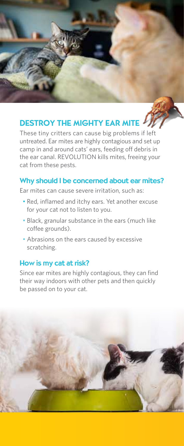## DESTROY THE MIGHTY EAR MITE

These tiny critters can cause big problems if left untreated. Ear mites are highly contagious and set up camp in and around cats' ears, feeding off debris in the ear canal. REVOLUTION kills mites, freeing your cat from these pests.

## Why should I be concerned about ear mites?

Ear mites can cause severe irritation, such as:

- Red, inflamed and itchy ears. Yet another excuse for your cat not to listen to you.
- Black, granular substance in the ears (much like coffee grounds).
- Abrasions on the ears caused by excessive scratching.

## How is my cat at risk?

Since ear mites are highly contagious, they can find their way indoors with other pets and then quickly be passed on to your cat.

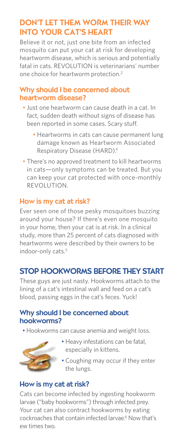## DON'T LET THEM WORM THEIR WAY INTO YOUR CAT'S HEART

Believe it or not, just one bite from an infected mosquito can put your cat at risk for developing heartworm disease, which is serious and potentially fatal in cats. REVOLUTION is veterinarians' number one choice for heartworm protection.2

## Why should I be concerned about heartworm disease?

- Just one heartworm can cause death in a cat. In fact, sudden death without signs of disease has been reported in some cases. Scary stuff.
	- Heartworms in cats can cause permanent lung damage known as Heartworm Associated Respiratory Disease (HARD).4
- There's no approved treatment to kill heartworms in cats—only symptoms can be treated. But you can keep your cat protected with once-monthly REVOLUTION.

## How is my cat at risk?

Ever seen one of those pesky mosquitoes buzzing around your house? If there's even one mosquito in your home, then your cat is at risk. In a clinical study, more than 25 percent of cats diagnosed with heartworms were described by their owners to be indoor-only cats.<sup>5</sup>

## STOP HOOKWORMS BEFORE THEY START

These guys are just nasty. Hookworms attach to the lining of a cat's intestinal wall and feed on a cat's blood, passing eggs in the cat's feces. Yuck!

## Why should I be concerned about hookworms?

• Hookworms can cause anemia and weight loss.



- Heavy infestations can be fatal, especially in kittens.
- Coughing may occur if they enter the lungs.

## How is my cat at risk?

Cats can become infected by ingesting hookworm larvae ("baby hookworms") through infected prey. Your cat can also contract hookworms by eating cockroaches that contain infected larvae.<sup>6</sup> Now that's ew times two.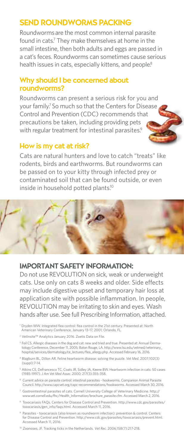## SEND ROUNDWORMS PACKING

Roundwormsare the most common internal parasite found in cats.<sup>7</sup> They make themselves at home in the small intestine, then both adults and eggs are passed in a cat's feces. Roundworms can sometimes cause serious health issues in cats, especially kittens, and people.<sup>8</sup>

## Why should I be concerned about roundworms?

Roundworms can present a serious risk for you and your family.7 So much so that the Centers for Disease Control and Prevention (CDC) recommends that precautions be taken, including providing pets with regular treatment for intestinal parasites.<sup>9</sup>

## How is my cat at risk?

Cats are natural hunters and love to catch "treats" like rodents, birds and earthworms. But roundworms can be passed on to your kitty through infected prey or contaminated soil that can be found outside, or even inside in household potted plants.<sup>10</sup>



## IMPORTANT SAFETY INFORMATION:

Do not use REVOLUTION on sick, weak or underweight cats. Use only on cats 8 weeks and older. Side effects may include digestive upset and temporary hair loss at application site with possible inflammation. In people, REVOLUTION may be irritating to skin and eyes. Wash hands after use. See full Prescribing Information, attached.

- <sup>1</sup> Dryden MW. Integrated flea control: flea control in the 21st century. Presented at: North American Veterinary Conference, January 13-17, 2001; Orlando, FL.
- 2 VetInsite™ Analytics January 2016. Zoetis Data on File.
- <sup>3</sup> Foil CS. Allergic diseases in the dog and cat: new and tried and true. Presented at: Annual Derm tology Conference, December 11, 2005; Baton Rouge, LA. http://www.lsu.edu/vetmed/veterinary\_ hospital/services/dermatology/ce\_lectures/flea\_allergy.php. Accessed February 16, 2016.
- 4 Blagburn BL, Dillon AR. Feline heartworm disease: solving the puzzle. *Vet Med*. 2007;102(3) (suppl):7-14.
- 5 Atkins CE, DeFrancesco TC, Coats JR, Sidley JA, Keene BW. Heartworm infection in cats: 50 cases (1985-1997). *J Am Vet Med Assoc*. 2000; 217(3):355-358.
- 6 Current advice on parasite control: intestinal parasites hookworms. Companion Animal Parasite Council. http://www.capcvet.org/capc-recommendations/hookworms. Accessed March 30, 2016.
- 7 Gastrointestinal parasites of cats. Cornell University College of Veterinary Medicine. http:// www.vet.cornell.edu/fhc/Health\_Information/brochure\_parasite.cfm. Accessed March 2, 2016.
- 8 Toxocariasis FAQs. Centers for Disease Control and Prevention. http://www.cdc.gov/parasites/ toxocariasis/gen\_info/faqs.html. Accessed March 11, 2016.
- 9 Parasites toxocariasis (also known as roundworm infection): prevention & control. Centers for Disease Control and Prevention. http://www.cdc.gov/parasites/toxocariasis/prevent.html. Accessed March 11, 2016.
- 10 Zoonoses, JF. Tracking ticks in the Netherlands. Vet Rec. 2006;158(7):217-218.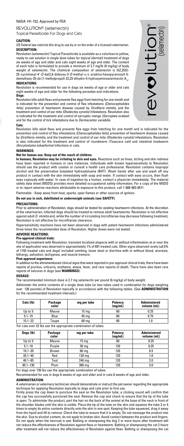#### NADA 141-152, Approved by FDA

REVOLUTION® (selamectin) Topical Parasiticide For Dogs and Cats

#### **CAUTION:**

US Federal law restricts this drug to use by or on the order of a licensed veterinarian. **DESCRIPTION:** 

**Revolution (selamectin) Topical Parasiticide is available as a colorless to yel** ready to use solution in single dose tubes for topical (dermal) treatment of dogs six weeks of age and older and cats eight weeks of age and older. The content of each tube is formulated to provide a minimum of 2.7 mg/lb (6 mg/kg) of body weight of selamectin. The chemical composition of selamectin is (5Z,25S)- 25-cyclohexyl-4'-*O-*de(2,6-dideoxy-3-*O-*methyl-α-L-*arabino*-hexopyranosyl)-5 demethoxy-25-de (1-methylpropyl)-22,23-dihydro-5-hydroxyiminoavermectin A<sub>1</sub>, **INDICATIONS:**

Revolution is recommended for use in dogs six weeks of age or older and cats eight weeks of age and older for the following parasites and indications: **Dogs:**

Revolution kills adult fleas and prevents flea eggs from hatching for one month and is indicated for the prevention and control of flea infestations *(Ctenocephalides felis)*, prevention of heartworm disease caused by *Dirofilaria immitis*, and the treatment and control of ear mite *(Otodectes cynotis)* infestations. Revolution also is indicated for the treatment and control of sarcoptic mange *(Sarcoptes scabiei)*<br>and for the control of tick infestations due to *Dermacentor variabilis* and for the control of tick infestations due to *Dermacentor* 

#### **Cats:**

Revolution kills adult fleas and prevents flea eggs from hatching for one month and is indicated for the prevention and control of flea infestations *(Ctenocephalides felis)*, prevention of heartworm disease caused by *Dirofilaria immitis*, and the treatment and control of ear mite *(Otodectes cynotis)* infestations. Revolution<br>is also indicated for the treatment and control of roundworm *(Toxocara cati)* and intestinal hookworm *(Ancylostoma tubaeforme)* infections in cats.

## **WARNINGS:**

## **Not for human use. Keep out of the reach of children.**

**In humans, Revolution may be irritating to skin and eyes.** Reactions such as hives, itching and skin redness have been reported in humans in rare instances. Individuals with known hypersensitivity to Revolution<br>should use the product with caution or consult a health care professional. Revolution contains isopropyl<br>alcohol and the product in contact with the skin immediately with soap and water. If contact with eyes occurs, then flush eyes copiously with water. In case of ingestion by a human, contact a physician immediately. The material<br>safety data sheet (MSDS) provides more detailed occupational safety information. For a copy of the MSDS or to report adverse reactions attributable to exposure to this product, call 1-888-963-8471.

Flammable - Keep away from heat, sparks, open flames or other sources of ignition.

#### **Do not use in sick, debilitated or underweight animals (see SAFETY)**.

#### **PRECAUTIONS:**

Prior to administration of Revolution, dogs should be tested for existing heartworm infections. At the discretion of the veterinarian, infected dogs should be treated to remove adult heartworms. Revolution is not effective against adult *D. immitis* and, while the number of circulating microfilariae may decrease following treatment, gamet data Brammar and microfilariae clearance.

Hypersensitivity reactions have not been observed in dogs with patent heartworm infections administered three times the recommended dose of Revolution. Higher doses were not tested.

#### **ADVERSE REACTIONS:**

### **Pre-approval clinical trials:**

Following treatment with Revolution, transient localized alopecia with or without inflammation at or near the<br>site of application was observed in approximately 1% of 691 treated cats. Other signs observed rarely (≤0.5% of 1743 treated cats and dogs) included vomiting, loose stool or diarrhea with or without blood, anorexia, lethargy, salivation, tachypnea, and muscle tremors.

**Post-approval experience:**<br>In addition to the aforementioned clinical signs that were reported in pre-approval clinical trials, there have been<br>reports of pruritus, urticaria, erythema, ataxia, fever, and rare reports of reports of pruritus, urticaria, erythema, ataxia, fever, and rare reports of death. There have also been rare<br>reports of seizures in dogs (see **WARNINGS**).

## **DOSAGE:**

The recommended minimum dose is 2.7 mg selamectin per pound (6 mg/kg) of body weight.

Administer the entire contents of a single dose tube (or two tubes used in combination for dogs weighing over 130 pounds) of Revolution topically in accordance with the following tables. (See **ADMINISTRATION** for the recommended treatment intervals.)

| Cats (Ib)   | Package<br>color | mg per tube | <b>Potency</b><br>(mq/mL) | <b>Administered</b><br>volume (mL) |
|-------------|------------------|-------------|---------------------------|------------------------------------|
| Up to 5     | Mauve            | 15 ma       | 60                        | 0.25                               |
| $5.1 - 15$  | Blue             | 45 mg       | 60                        | 0.75                               |
| $15.1 - 22$ | Taupe            | 60 mg       | 60                        | 1.0                                |

#### For cats over 22 lbs use the appropriate combination of tubes.

| Dogs (lb)    | Package<br>color | mg per tube      | Potency<br>(mg/mL) | <b>Administered</b><br>volume (mL) |
|--------------|------------------|------------------|--------------------|------------------------------------|
| Up to 5      | Mauve            | 15 <sub>mg</sub> | 60                 | 0.25                               |
| $5.1 - 10$   | Purple           | 30 mg            | 120                | 0.25                               |
| $10.1 - 20$  | Brown            | $60$ mg          | 120                | 0.5                                |
| $20.1 - 40$  | Red              | 120 mg           | 120                | 1.0                                |
| $40.1 - 85$  | Teal             | 240 mg           | 120                | 2.0                                |
| $85.1 - 130$ | Plum             | 360 mg           | 120                | 3.0                                |

For dogs over 130 lbs use the appropriate combination of tubes.

Recommended for use in dogs 6 weeks of age and older and in cats 8 weeks of age and older.

#### **ADMINISTRATION:**

A veterinarian or veterinary technician should demonstrate or instruct the pet owner regarding the appropriate technique for applying Revolution topically to dogs and cats prior to first use.

Firmly press the cap down to puncture the seal on the Revolution tube; a clicking sound will confirm that the cap has successfully punctured the seal. Remove the cap and check to ensure that the tip of the tube is open. To administer the product, part the hair on the back of the animal at the base of the neck in front of the shoulder blades until the skin is visible. Place the tip of the tube on the skin and squeeze the tube 3 or 4 times to empty its entire contents directly onto the skin in one spot. Keeping the tube squeezed, drag it away from the liquid and lift to remove. Check the tube to ensure that it is empty. Do not massage the product into the skin. Due to alcohol content, do not apply to broken skin. Avoid contact between the product and fingers. Do not apply when the haircoat is wet. Bathing or shampooing the dog 2 or more hours after treatment will not reduce the effectiveness of Revolution against fleas or heartworm. Bathing or shampooing the cat 2 hours after treatment will not reduce the effectiveness of Revolution against fleas. Bathing or shampooing the cat

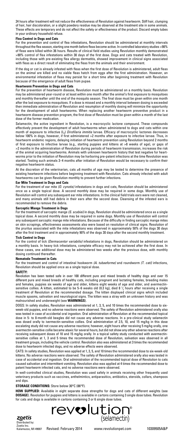24 hours after treatment will not reduce the effectiveness of Revolution against heartworm. Stiff hair, clumping of hair, hair discoloration, or a slight powdery residue may be observed at the treatment site in some animals. These effects are temporary and do not affect the safety or effectiveness of the product. Discard empty tubes in your ordinary household refuse.

#### **Flea Control in Dogs and Cats**

For the prevention and control of flea infestations, Revolution should be administered at monthly intervals throughout the flea season, starting one month before fleas become active. In controlled laboratory studies >98% of fleas were killed within 36 hours. Results of clinical field studies using Revolution monthly demonstrated >90% control of flea infestations within 30 days of the first dose. Dogs and cats treated with Revolution, including those with pre-existing flea allergy dermatitis, showed improvement in clinical signs associated with fleas as a direct result of eliminating the fleas from the animals and their environment.

If the dog or cat is already infested with fleas when the first dose of Revolution is administered, adult fleas on the animal are killed and no viable fleas hatch from eggs after the first administration. However, an environmental infestation of fleas may persist for a short time after beginning treatment with Revolution because of the emergence of adult fleas from pupae.

#### **Heartworm Prevention in Dogs and Cats**

For the prevention of heartworm disease, Revolution must be administered on a monthly basis. Revolution may be administered year-round or at least within one month after the animal's first exposure to mosquitoes and monthly thereafter until the end of the mosquito season. The final dose must be given within one month after the last exposure to mosquitoes. If a dose is missed and a monthly interval between dosing is exceeded then immediate administration of Revolution and resumption of monthly dosing will minimize the opportunity for the development of adult heartworms. When replacing another heartworm preventive product in a heartworm disease prevention program, the first dose of Revolution must be given within a month of the last dose of the former medication.

Selamectin, the active ingredient in Revolution, is a macrocyclic lactone compound. These compounds effectively prevent the development of adult heartworms when administered to dogs and cats within one month of exposure to infective (L3) *Dirofilaria immitis* larvae. Efficacy of macrocyclic lactones decreases below 100% in dogs, however, if first administered >2 months after exposure to infective larvae. Thus, in heartworm endemic regions, delaying initiation of heartworm prevention using Revolution beyond 2 months of first exposure to infective larvae (e.g., starting puppies and kittens at >8 weeks of age), or gaps of >2 months in the administration of Revolution during periods of heartworm transmission, increases the risk of the animal acquiring heartworms. Animals with unknown heartworm history that test negative for heartworms prior to the initiation of Revolution may be harboring pre-patent infections at the time Revolution was started. Testing such animals 3–4 months after initiation of Revolution would be necessary to confirm their negative heartworm status.

At the discretion of the veterinarian, cats ≥6 months of age may be tested to determine the presence of existing heartworm infections before beginning treatment with Revolution. Cats already infected with adult heartworms can be given Revolution monthly to prevent further infections.

**Ear Mite Treatment in Dogs and Cats** For the treatment of ear mite *(O. cynotis)* infestations in dogs and cats, Revolution should be administered once as a single topical dose. A second monthly dose may be required in some dogs. Monthly use of Revolution will control any subsequent ear mite infestations. In the clinical field trials ears were not cleaned, and many animals still had debris in their ears after the second dose. Cleansing of the infested ears is recommended to remove the debris.

#### **Sarcoptic Mange Treatment in Dogs**

For the treatment of sarcoptic mange *(S. scabiei)* in dogs, Revolution should be administered once as a single topical dose. A second monthly dose may be required in some dogs. Monthly use of Revolution will control any subsequent sarcoptic mange mite infestations. Because of the difficulty in finding sarcoptic mange mites on skin scrapings, effectiveness assessments also were based on resolution of clinical signs. Resolution of the pruritus associated with the mite infestations was observed in approximately 50% of the dogs 30 days after the first treatment and in approximately 90% of the dogs 30 days after the second monthly treatment.

### **Tick Control in Dogs**

For the control of tick *(Dermacentor variabilis)* infestations in dogs, Revolution should be administered on a monthly basis. In heavy tick infestations, complete efficacy may not be achieved after the first dose. In these cases, one additional dose may be administered two weeks after the previous dose, with monthly dosing continued thereafter.

#### **Nematode Treatment in Cats**

For the treatment and control of intestinal hookworm *(A. tubaeforme)* and roundworm *(T. cati)* infections, Revolution should be applied once as a single topical dose.

#### **SAFETY:**

Revolution has been tested safe in over 100 different pure and mixed breeds of healthy dogs and over 15 different pure and mixed breeds of healthy cats, including pregnant and lactating females, breeding males and females, puppies six weeks of age and older, kittens eight weeks of age and older, and avermectinsensitive collies. A kitten, estimated to be 5–6 weeks old (0.3 kg), died 8  $\frac{1}{2}$  hours after receiving a single treatment of Revolution at the recommended dosage. The kitten displayed clinical signs which included muscle spasms, salivation and neurological signs. The kitten was a stray with an unknown history and was malnourished and underweight (see **WARNINGS**).

DOGS: In safety studies, Revolution was administered at 1, 3, 5, and 10 times the recommended dose to sixweek-old puppies, and no adverse reactions were observed. The safety of Revolution administered orally also was tested in case of accidental oral ingestion. Oral administration of Revolution at the recommended topical dose in 5- to 8-month-old beagles did not cause any adverse reactions. In a pre-clinical study selamectin was dosed orally to ivermectin-sensitive collies. Oral administration of 2.5, 10, and 15 mg/kg in this dose escalating study did not cause any adverse reactions; however, eight hours after receiving 5 mg/kg orally, one avermectin-sensitive collie became ataxic for several hours, but did not show any other adverse reactions after receiving subsequent doses of 10 and 15 mg/kg orally. In a topical safety study conducted with avermectin-sensitive collies at 1, 3 and 5 times the recommended dose of Revolution, salivation was observed in all treatment groups, including the vehicle control. Revolution also was administered at 3 times the recommended dose to heartworm infected dogs, and no adverse effects were observed.

CATS: In safety studies, Revolution was applied at 1, 3, 5, and 10 times the recommended dose to six-week-old kittens. No adverse reactions were observed. The safety of Revolution administered orally also was tested in case of accidental oral ingestion. Oral administration of the recommended topical dose of Revolution to cats caused salivation and intermittent vomiting. Revolution also was applied at 4 times the recommended dose to patent heartworm infected cats, and no adverse reactions were observed.

In well-controlled clinical studies, Revolution was used safely in animals receiving other frequently used veterinary products such as vaccines, anthelmintics, antiparasitics, antibiotics, steroids, collars, shampoos and dips.

#### **STORAGE CONDITIONS:** Store below 30°C (86°F).

**HOW SUPPLIED:** Available in eight separate dose strengths for dogs and cats of different weights (see **DOSAGE**). Revolution for puppies and kittens is available in cartons containing 3 single dose tubes. Revolution<br>for cats and dogs is available in cartons containing 3 or 6 single dose tubes.



zoetis Distributed by: Zoetis Inc.

Kalamazoo, MI 49007 Revised: February 2014

www.revolutionpet.com 10309505A&P